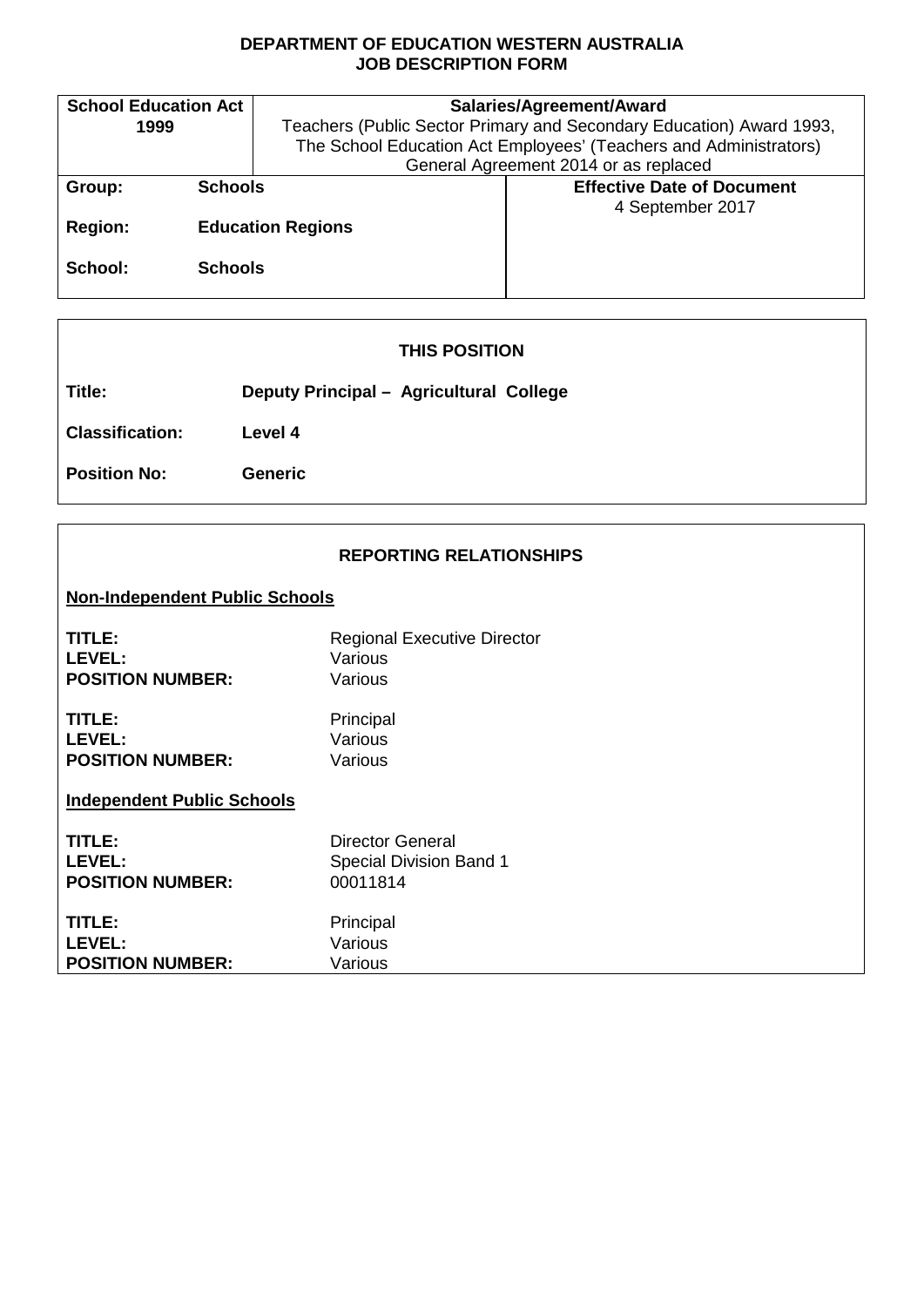## **DEPARTMENT OF EDUCATION WESTERN AUSTRALIA JOB DESCRIPTION FORM**

| <b>School Education Act</b> |                | Salaries/Agreement/Award                                             |                                                                   |  |
|-----------------------------|----------------|----------------------------------------------------------------------|-------------------------------------------------------------------|--|
| 1999                        |                | Teachers (Public Sector Primary and Secondary Education) Award 1993, |                                                                   |  |
|                             |                |                                                                      | The School Education Act Employees' (Teachers and Administrators) |  |
|                             |                | General Agreement 2014 or as replaced                                |                                                                   |  |
| Group:                      | <b>Schools</b> |                                                                      | <b>Effective Date of Document</b>                                 |  |
|                             |                |                                                                      | 4 September 2017                                                  |  |
| <b>Region:</b>              |                | <b>Education Regions</b>                                             |                                                                   |  |
|                             |                |                                                                      |                                                                   |  |
| School:                     | <b>Schools</b> |                                                                      |                                                                   |  |
|                             |                |                                                                      |                                                                   |  |

|                        | <b>THIS POSITION</b>                    |
|------------------------|-----------------------------------------|
| Title:                 | Deputy Principal - Agricultural College |
| <b>Classification:</b> | Level 4                                 |
| <b>Position No:</b>    | <b>Generic</b>                          |
|                        |                                         |

| <b>REPORTING RELATIONSHIPS</b> |  |
|--------------------------------|--|
|--------------------------------|--|

# **Non-Independent Public Schools**

| TITLE:                            | <b>Regional Executive Director</b> |
|-----------------------------------|------------------------------------|
| LEVEL:                            | Various                            |
| <b>POSITION NUMBER:</b>           | Various                            |
| TITLE:                            | Principal                          |
| LEVEL:                            | Various                            |
| <b>POSITION NUMBER:</b>           | Various                            |
| <b>Independent Public Schools</b> |                                    |
| TITLE:                            | Director General                   |
| LEVEL:                            | <b>Special Division Band 1</b>     |
| <b>POSITION NUMBER:</b>           | 00011814                           |
| TITLE:                            | Principal                          |
| LEVEL:                            | Various                            |
| <b>POSITION NUMBER:</b>           | Various                            |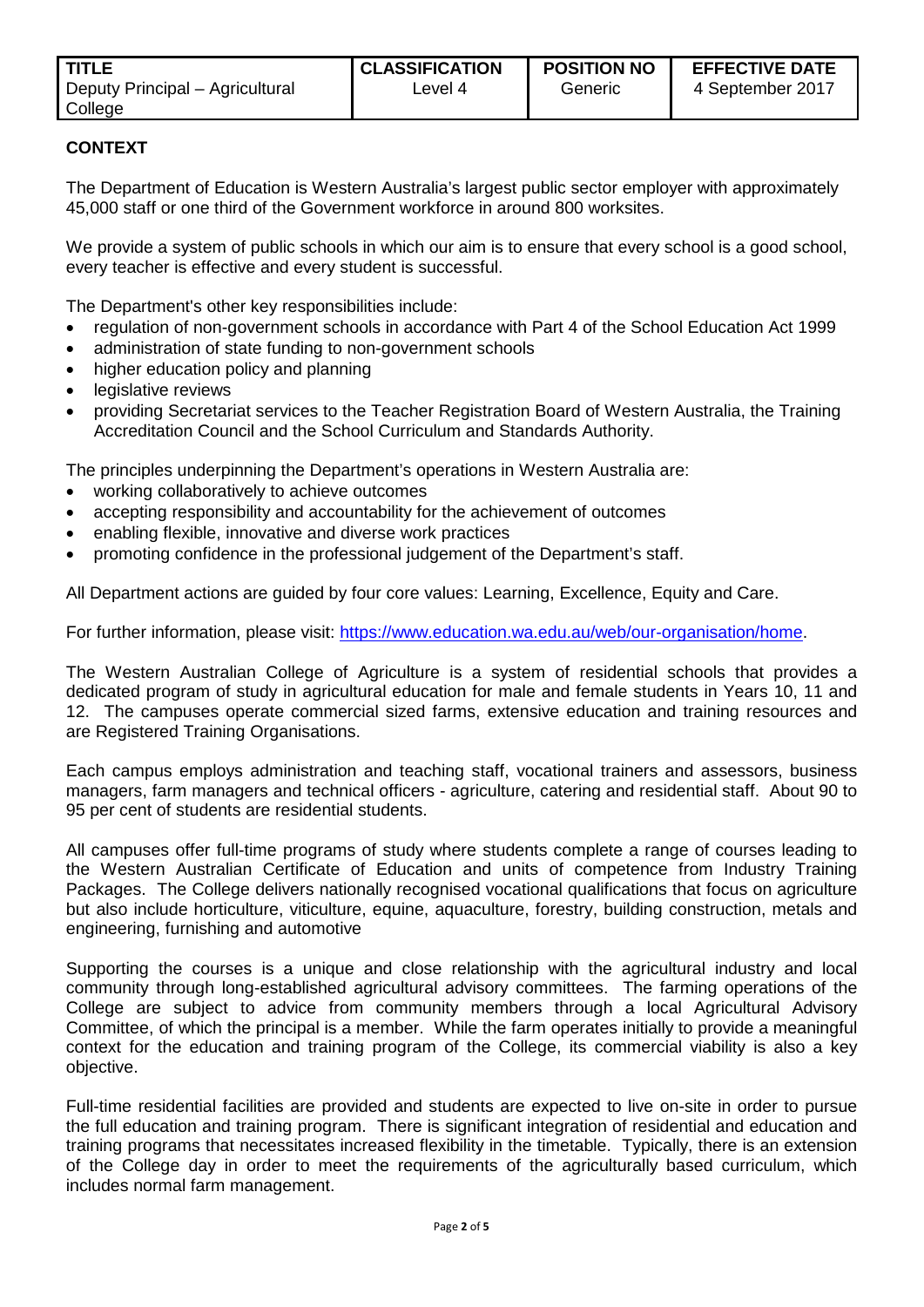| <b>TITLE</b>                    | <b>CLASSIFICATION</b> | <b>POSITION NO</b> | <b>EFFECTIVE DATE</b> |
|---------------------------------|-----------------------|--------------------|-----------------------|
| Deputy Principal – Agricultural | ∟evel 4               | Generic            | 4 September 2017      |
| College                         |                       |                    |                       |

## **CONTEXT**

The Department of Education is Western Australia's largest public sector employer with approximately 45,000 staff or one third of the Government workforce in around 800 worksites.

We provide a system of public schools in which our aim is to ensure that every school is a good school, every teacher is effective and every student is successful.

The Department's other key responsibilities include:

- regulation of non-government schools in accordance with Part 4 of the School Education Act 1999
- administration of state funding to non-government schools
- higher education policy and planning
- legislative reviews
- providing Secretariat services to the Teacher Registration Board of Western Australia, the Training Accreditation Council and the School Curriculum and Standards Authority.

The principles underpinning the Department's operations in Western Australia are:

- working collaboratively to achieve outcomes
- accepting responsibility and accountability for the achievement of outcomes
- enabling flexible, innovative and diverse work practices
- promoting confidence in the professional judgement of the Department's staff.

All Department actions are guided by four core values: Learning, Excellence, Equity and Care.

For further information, please visit: https://www.education.wa.edu.au/web/our-organisation/home.

The Western Australian College of Agriculture is a system of residential schools that provides a dedicated program of study in agricultural education for male and female students in Years 10, 11 and 12. The campuses operate commercial sized farms, extensive education and training resources and are Registered Training Organisations.

Each campus employs administration and teaching staff, vocational trainers and assessors, business managers, farm managers and technical officers - agriculture, catering and residential staff. About 90 to 95 per cent of students are residential students.

All campuses offer full-time programs of study where students complete a range of courses leading to the Western Australian Certificate of Education and units of competence from Industry Training Packages. The College delivers nationally recognised vocational qualifications that focus on agriculture but also include horticulture, viticulture, equine, aquaculture, forestry, building construction, metals and engineering, furnishing and automotive

Supporting the courses is a unique and close relationship with the agricultural industry and local community through long-established agricultural advisory committees. The farming operations of the College are subject to advice from community members through a local Agricultural Advisory Committee, of which the principal is a member. While the farm operates initially to provide a meaningful context for the education and training program of the College, its commercial viability is also a key objective.

Full-time residential facilities are provided and students are expected to live on-site in order to pursue the full education and training program. There is significant integration of residential and education and training programs that necessitates increased flexibility in the timetable. Typically, there is an extension of the College day in order to meet the requirements of the agriculturally based curriculum, which includes normal farm management.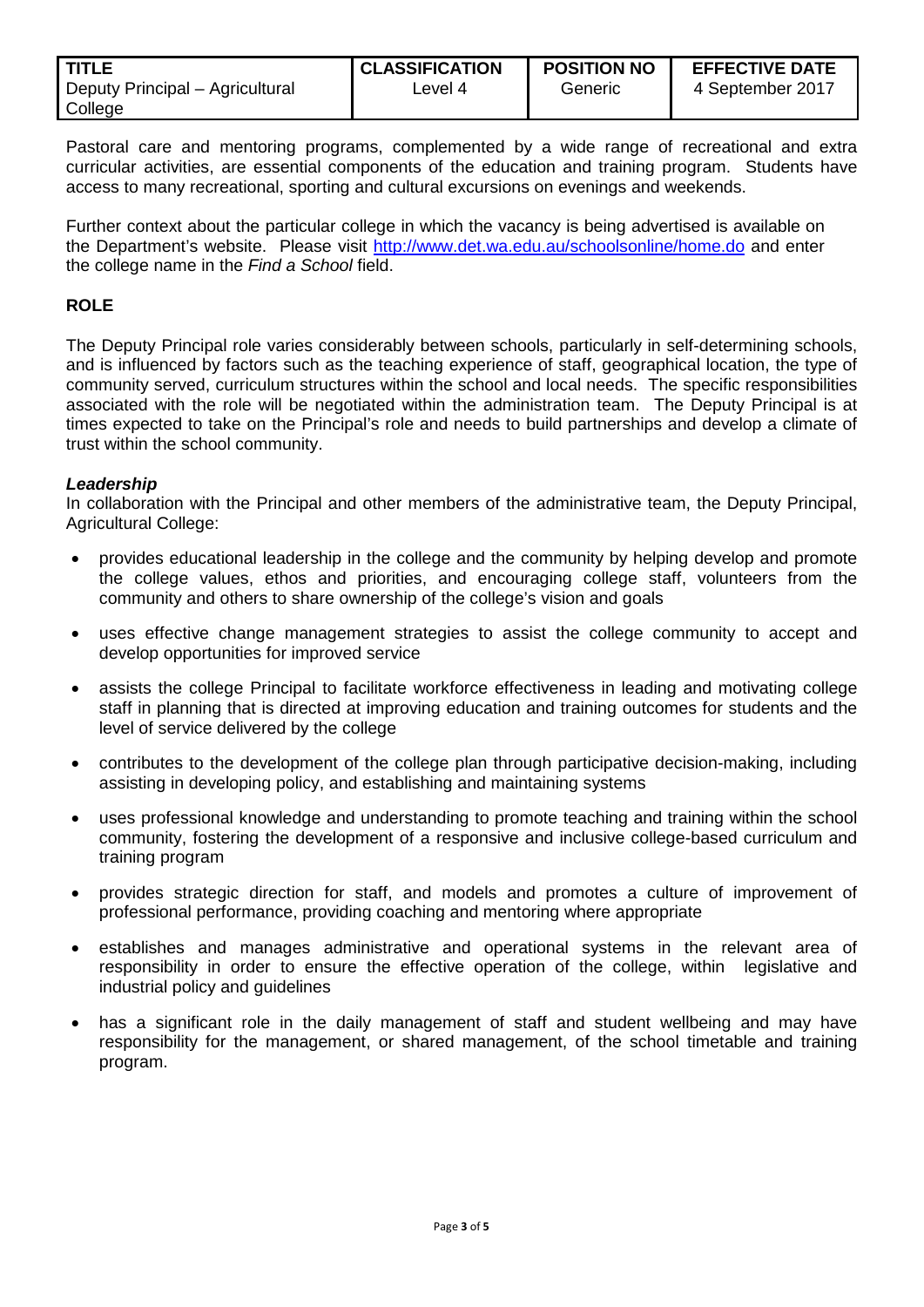| <b>TITLE</b>                    | <b>CLASSIFICATION</b> | <b>POSITION NO</b> | <b>EFFECTIVE DATE</b> |
|---------------------------------|-----------------------|--------------------|-----------------------|
| Deputy Principal – Agricultural | ∟evel 4               | Generic            | 4 September 2017      |
| College                         |                       |                    |                       |

Pastoral care and mentoring programs, complemented by a wide range of recreational and extra curricular activities, are essential components of the education and training program. Students have access to many recreational, sporting and cultural excursions on evenings and weekends.

Further context about the particular college in which the vacancy is being advertised is available on the Department's website. Please visit http://www.det.wa.edu.au/schoolsonline/home.do and enter the college name in the *Find a School* field.

### **ROLE**

The Deputy Principal role varies considerably between schools, particularly in self-determining schools, and is influenced by factors such as the teaching experience of staff, geographical location, the type of community served, curriculum structures within the school and local needs. The specific responsibilities associated with the role will be negotiated within the administration team. The Deputy Principal is at times expected to take on the Principal's role and needs to build partnerships and develop a climate of trust within the school community.

#### *Leadership*

In collaboration with the Principal and other members of the administrative team, the Deputy Principal, Agricultural College:

- provides educational leadership in the college and the community by helping develop and promote the college values, ethos and priorities, and encouraging college staff, volunteers from the community and others to share ownership of the college's vision and goals
- uses effective change management strategies to assist the college community to accept and develop opportunities for improved service
- assists the college Principal to facilitate workforce effectiveness in leading and motivating college staff in planning that is directed at improving education and training outcomes for students and the level of service delivered by the college
- contributes to the development of the college plan through participative decision-making, including assisting in developing policy, and establishing and maintaining systems
- uses professional knowledge and understanding to promote teaching and training within the school community, fostering the development of a responsive and inclusive college-based curriculum and training program
- provides strategic direction for staff, and models and promotes a culture of improvement of professional performance, providing coaching and mentoring where appropriate
- establishes and manages administrative and operational systems in the relevant area of responsibility in order to ensure the effective operation of the college, within legislative and industrial policy and guidelines
- has a significant role in the daily management of staff and student wellbeing and may have responsibility for the management, or shared management, of the school timetable and training program.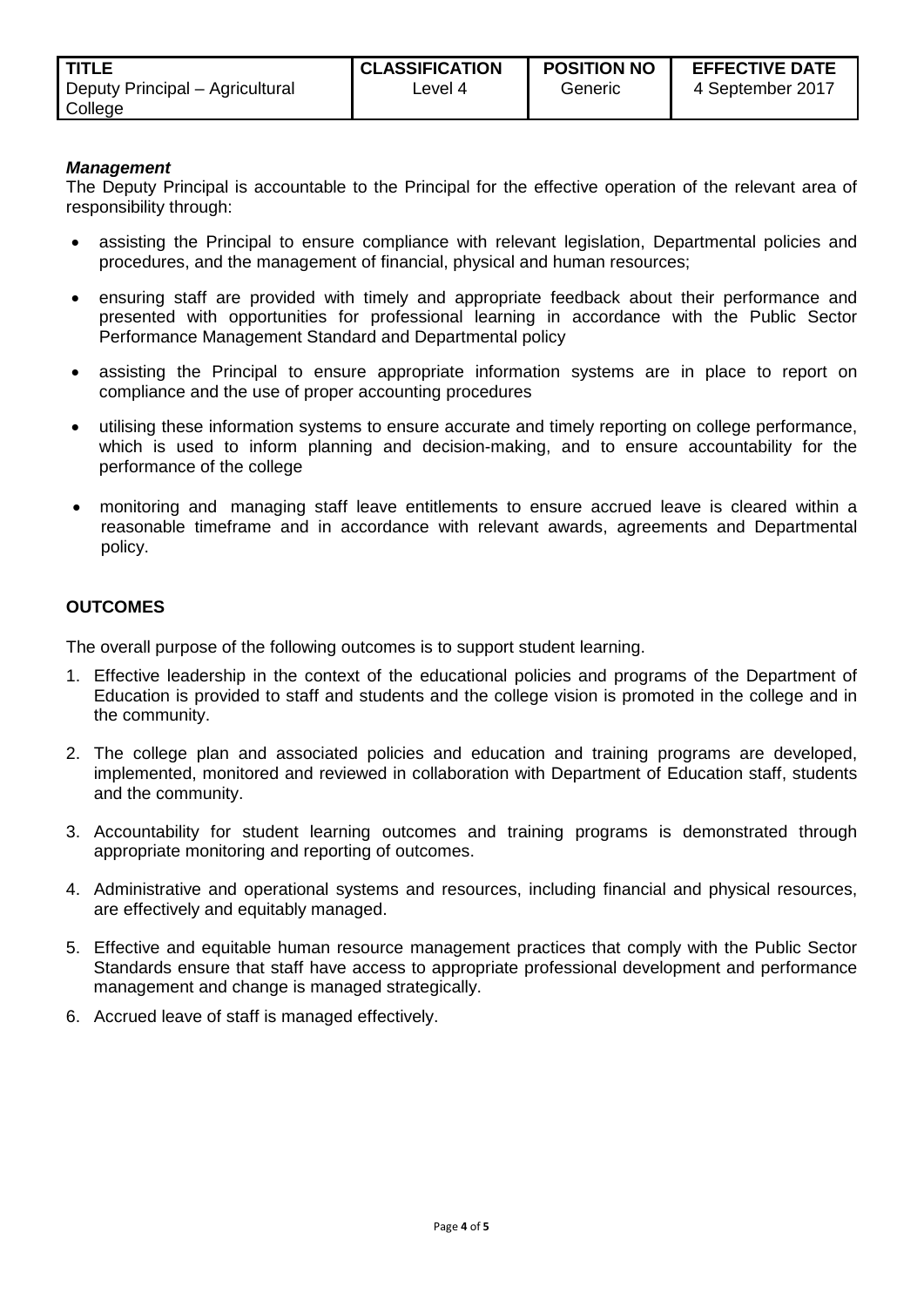| <b>TITLE</b>                    | <b>CLASSIFICATION</b> | <b>POSITION NO</b> | <b>EFFECTIVE DATE</b> |
|---------------------------------|-----------------------|--------------------|-----------------------|
| Deputy Principal – Agricultural | ∟evel 4               | Generic            | 4 September 2017      |
| College                         |                       |                    |                       |

#### *Management*

The Deputy Principal is accountable to the Principal for the effective operation of the relevant area of responsibility through:

- assisting the Principal to ensure compliance with relevant legislation, Departmental policies and procedures, and the management of financial, physical and human resources;
- ensuring staff are provided with timely and appropriate feedback about their performance and presented with opportunities for professional learning in accordance with the Public Sector Performance Management Standard and Departmental policy
- assisting the Principal to ensure appropriate information systems are in place to report on compliance and the use of proper accounting procedures
- utilising these information systems to ensure accurate and timely reporting on college performance, which is used to inform planning and decision-making, and to ensure accountability for the performance of the college
- monitoring and managing staff leave entitlements to ensure accrued leave is cleared within a reasonable timeframe and in accordance with relevant awards, agreements and Departmental policy.

#### **OUTCOMES**

The overall purpose of the following outcomes is to support student learning.

- 1. Effective leadership in the context of the educational policies and programs of the Department of Education is provided to staff and students and the college vision is promoted in the college and in the community.
- 2. The college plan and associated policies and education and training programs are developed, implemented, monitored and reviewed in collaboration with Department of Education staff, students and the community.
- 3. Accountability for student learning outcomes and training programs is demonstrated through appropriate monitoring and reporting of outcomes.
- 4. Administrative and operational systems and resources, including financial and physical resources, are effectively and equitably managed.
- 5. Effective and equitable human resource management practices that comply with the Public Sector Standards ensure that staff have access to appropriate professional development and performance management and change is managed strategically.
- 6. Accrued leave of staff is managed effectively.